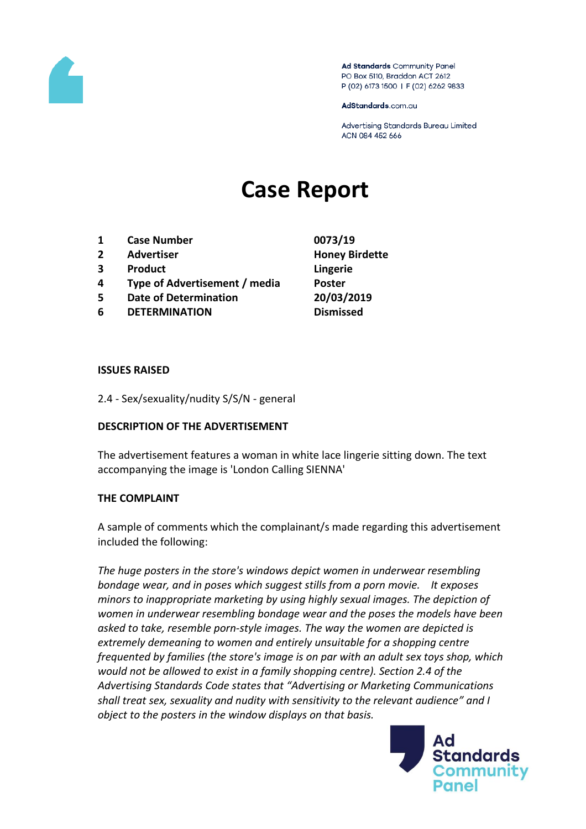

Ad Standards Community Panel PO Box 5110, Braddon ACT 2612 P (02) 6173 1500 | F (02) 6262 9833

AdStandards.com.au

Advertising Standards Bureau Limited ACN 084 452 666

# **Case Report**

- **1 Case Number 0073/19**
- **2 Advertiser Honey Birdette**
- **3 Product Lingerie**
- **4 Type of Advertisement / media Poster**
- **5 Date of Determination 20/03/2019**
- **6 DETERMINATION Dismissed**

#### **ISSUES RAISED**

2.4 - Sex/sexuality/nudity S/S/N - general

### **DESCRIPTION OF THE ADVERTISEMENT**

The advertisement features a woman in white lace lingerie sitting down. The text accompanying the image is 'London Calling SIENNA'

### **THE COMPLAINT**

A sample of comments which the complainant/s made regarding this advertisement included the following:

*The huge posters in the store's windows depict women in underwear resembling bondage wear, and in poses which suggest stills from a porn movie. It exposes minors to inappropriate marketing by using highly sexual images. The depiction of women in underwear resembling bondage wear and the poses the models have been asked to take, resemble porn-style images. The way the women are depicted is extremely demeaning to women and entirely unsuitable for a shopping centre frequented by families (the store's image is on par with an adult sex toys shop, which would not be allowed to exist in a family shopping centre). Section 2.4 of the Advertising Standards Code states that "Advertising or Marketing Communications shall treat sex, sexuality and nudity with sensitivity to the relevant audience" and I object to the posters in the window displays on that basis.*

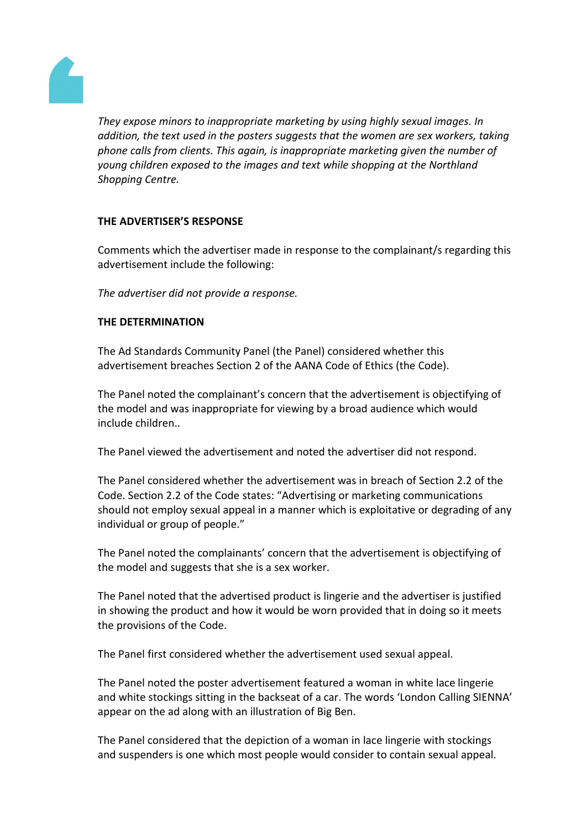

*They expose minors to inappropriate marketing by using highly sexual images. In addition, the text used in the posters suggests that the women are sex workers, taking phone calls from clients. This again, is inappropriate marketing given the number of young children exposed to the images and text while shopping at the Northland Shopping Centre.* 

## **THE ADVERTISER'S RESPONSE**

Comments which the advertiser made in response to the complainant/s regarding this advertisement include the following:

*The advertiser did not provide a response.*

### **THE DETERMINATION**

The Ad Standards Community Panel (the Panel) considered whether this advertisement breaches Section 2 of the AANA Code of Ethics (the Code).

The Panel noted the complainant's concern that the advertisement is objectifying of the model and was inappropriate for viewing by a broad audience which would include children..

The Panel viewed the advertisement and noted the advertiser did not respond.

The Panel considered whether the advertisement was in breach of Section 2.2 of the Code. Section 2.2 of the Code states: "Advertising or marketing communications should not employ sexual appeal in a manner which is exploitative or degrading of any individual or group of people."

The Panel noted the complainants' concern that the advertisement is objectifying of the model and suggests that she is a sex worker.

The Panel noted that the advertised product is lingerie and the advertiser is justified in showing the product and how it would be worn provided that in doing so it meets the provisions of the Code.

The Panel first considered whether the advertisement used sexual appeal.

The Panel noted the poster advertisement featured a woman in white lace lingerie and white stockings sitting in the backseat of a car. The words 'London Calling SIENNA' appear on the ad along with an illustration of Big Ben.

The Panel considered that the depiction of a woman in lace lingerie with stockings and suspenders is one which most people would consider to contain sexual appeal.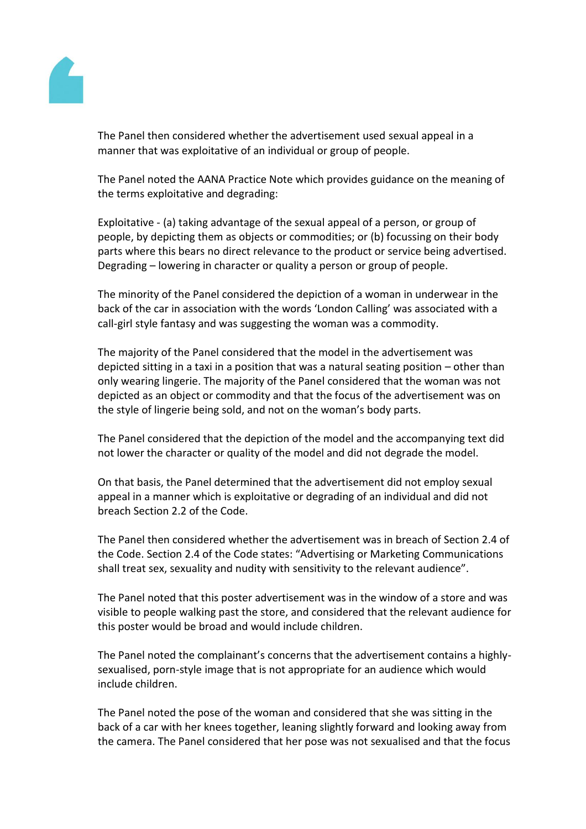

The Panel then considered whether the advertisement used sexual appeal in a manner that was exploitative of an individual or group of people.

The Panel noted the AANA Practice Note which provides guidance on the meaning of the terms exploitative and degrading:

Exploitative - (a) taking advantage of the sexual appeal of a person, or group of people, by depicting them as objects or commodities; or (b) focussing on their body parts where this bears no direct relevance to the product or service being advertised. Degrading – lowering in character or quality a person or group of people.

The minority of the Panel considered the depiction of a woman in underwear in the back of the car in association with the words 'London Calling' was associated with a call-girl style fantasy and was suggesting the woman was a commodity.

The majority of the Panel considered that the model in the advertisement was depicted sitting in a taxi in a position that was a natural seating position – other than only wearing lingerie. The majority of the Panel considered that the woman was not depicted as an object or commodity and that the focus of the advertisement was on the style of lingerie being sold, and not on the woman's body parts.

The Panel considered that the depiction of the model and the accompanying text did not lower the character or quality of the model and did not degrade the model.

On that basis, the Panel determined that the advertisement did not employ sexual appeal in a manner which is exploitative or degrading of an individual and did not breach Section 2.2 of the Code.

The Panel then considered whether the advertisement was in breach of Section 2.4 of the Code. Section 2.4 of the Code states: "Advertising or Marketing Communications shall treat sex, sexuality and nudity with sensitivity to the relevant audience".

The Panel noted that this poster advertisement was in the window of a store and was visible to people walking past the store, and considered that the relevant audience for this poster would be broad and would include children.

The Panel noted the complainant's concerns that the advertisement contains a highlysexualised, porn-style image that is not appropriate for an audience which would include children.

The Panel noted the pose of the woman and considered that she was sitting in the back of a car with her knees together, leaning slightly forward and looking away from the camera. The Panel considered that her pose was not sexualised and that the focus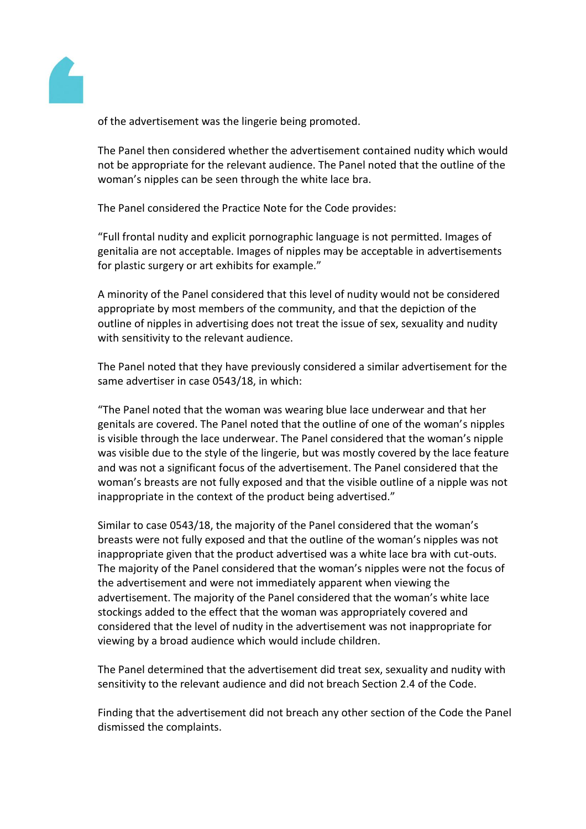

of the advertisement was the lingerie being promoted.

The Panel then considered whether the advertisement contained nudity which would not be appropriate for the relevant audience. The Panel noted that the outline of the woman's nipples can be seen through the white lace bra.

The Panel considered the Practice Note for the Code provides:

"Full frontal nudity and explicit pornographic language is not permitted. Images of genitalia are not acceptable. Images of nipples may be acceptable in advertisements for plastic surgery or art exhibits for example."

A minority of the Panel considered that this level of nudity would not be considered appropriate by most members of the community, and that the depiction of the outline of nipples in advertising does not treat the issue of sex, sexuality and nudity with sensitivity to the relevant audience.

The Panel noted that they have previously considered a similar advertisement for the same advertiser in case 0543/18, in which:

"The Panel noted that the woman was wearing blue lace underwear and that her genitals are covered. The Panel noted that the outline of one of the woman's nipples is visible through the lace underwear. The Panel considered that the woman's nipple was visible due to the style of the lingerie, but was mostly covered by the lace feature and was not a significant focus of the advertisement. The Panel considered that the woman's breasts are not fully exposed and that the visible outline of a nipple was not inappropriate in the context of the product being advertised."

Similar to case 0543/18, the majority of the Panel considered that the woman's breasts were not fully exposed and that the outline of the woman's nipples was not inappropriate given that the product advertised was a white lace bra with cut-outs. The majority of the Panel considered that the woman's nipples were not the focus of the advertisement and were not immediately apparent when viewing the advertisement. The majority of the Panel considered that the woman's white lace stockings added to the effect that the woman was appropriately covered and considered that the level of nudity in the advertisement was not inappropriate for viewing by a broad audience which would include children.

The Panel determined that the advertisement did treat sex, sexuality and nudity with sensitivity to the relevant audience and did not breach Section 2.4 of the Code.

Finding that the advertisement did not breach any other section of the Code the Panel dismissed the complaints.